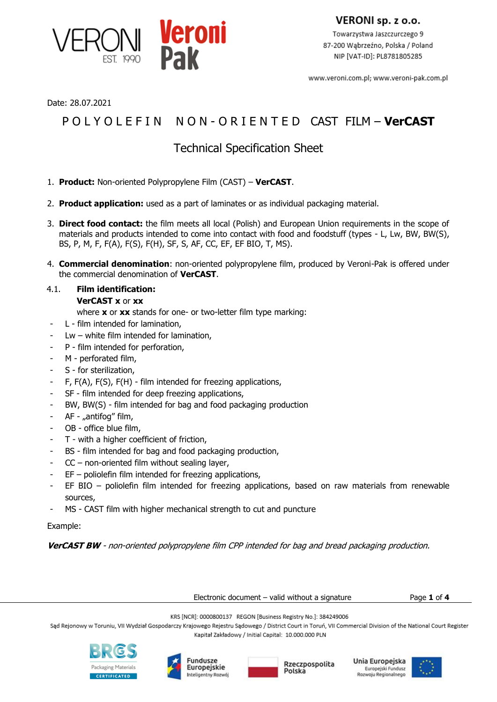

VERONI sp. z o.o.

Towarzystwa Jaszczurczego 9 87-200 Wąbrzeźno, Polska / Poland NIP [VAT-ID]: PL8781805285

www.veroni.com.pl; www.veroni-pak.com.pl

Date: 28.07.2021

# P O L Y O L E F I N N O N - O R I E N T E D CAST FILM – **VerCAST**

## Technical Specification Sheet

- 1. **Product:** Non-oriented Polypropylene Film (CAST) **VerCAST**.
- 2. **Product application:** used as a part of laminates or as individual packaging material.
- 3. **Direct food contact:** the film meets all local (Polish) and European Union requirements in the scope of materials and products intended to come into contact with food and foodstuff (types - L, Lw, BW, BW(S), BS, P, M, F, F(A), F(S), F(H), SF, S, AF, CC, EF, EF BIO, T, MS).
- 4. **Commercial denomination**: non-oriented polypropylene film, produced by Veroni-Pak is offered under the commercial denomination of **VerCAST**.

## 4.1. **Film identification: VerCAST x** or **xx**

- where **x** or **xx** stands for one- or two-letter film type marking:
- L film intended for lamination,
- $Lw$  white film intended for lamination,
- P film intended for perforation,
- M perforated film,
- S for sterilization,
- F, F(A), F(S), F(H) film intended for freezing applications,
- SF film intended for deep freezing applications,
- BW, BW(S) film intended for bag and food packaging production
- AF "antifog" film,
- OB office blue film,
- T with a higher coefficient of friction,
- BS film intended for bag and food packaging production,
- $CC$  non-oriented film without sealing layer,
- $EF -$  poliolefin film intended for freezing applications,
- EF BIO poliolefin film intended for freezing applications, based on raw materials from renewable sources,
- MS CAST film with higher mechanical strength to cut and puncture

Example:

**VerCAST BW** - non-oriented polypropylene film CPP intended for bag and bread packaging production.

Electronic document – valid without a signature Page **1** of **4**

KRS [NCR]: 0000800137 REGON [Business Registry No.]: 384249006

Sąd Rejonowy w Toruniu, VII Wydział Gospodarczy Krajowego Rejestru Sądowego / District Court in Toruń, VII Commercial Division of the National Court Register Kapitał Zakładowy / Initial Capital: 10.000.000 PLN







Unia Europejska Europejski Fundusz<br>Rozwoju Regionalnego

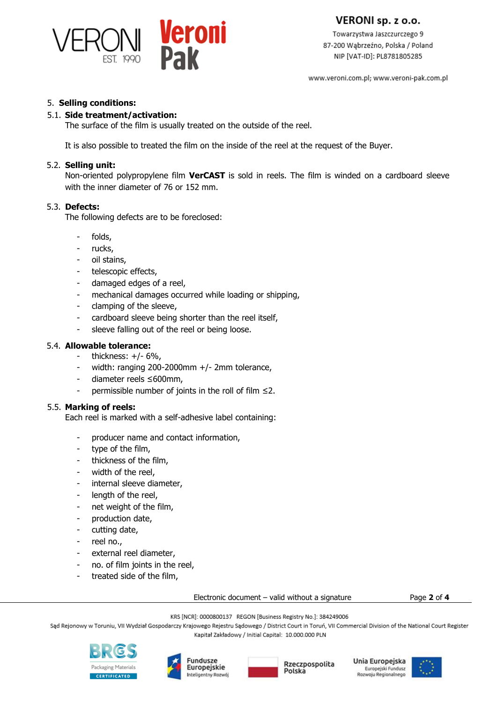

VERONI sp. z o.o.

Towarzystwa Jaszczurczego 9 87-200 Wąbrzeźno, Polska / Poland NIP [VAT-ID]: PL8781805285

www.veroni.com.pl; www.veroni-pak.com.pl

#### 5. **Selling conditions:**

#### 5.1. **Side treatment/activation:**

The surface of the film is usually treated on the outside of the reel.

It is also possible to treated the film on the inside of the reel at the request of the Buyer.

#### 5.2. **Selling unit:**

Non-oriented polypropylene film **VerCAST** is sold in reels. The film is winded on a cardboard sleeve with the inner diameter of 76 or 152 mm.

#### 5.3. **Defects:**

The following defects are to be foreclosed:

- folds,
- rucks,
- oil stains,
- telescopic effects,
- damaged edges of a reel,
- mechanical damages occurred while loading or shipping,
- clamping of the sleeve,
- cardboard sleeve being shorter than the reel itself,
- sleeve falling out of the reel or being loose.

#### 5.4. **Allowable tolerance:**

- thickness:  $+/- 6\%$ ,
- width: ranging 200-2000mm +/- 2mm tolerance,
- diameter reels ≤600mm,
- permissible number of joints in the roll of film  $\leq 2$ .

#### 5.5. **Marking of reels:**

Each reel is marked with a self-adhesive label containing:

- producer name and contact information,
- type of the film,
- thickness of the film,
- width of the reel.
- internal sleeve diameter,
- length of the reel,
- net weight of the film,
- production date,
- cutting date,
- reel no.,
- external reel diameter,
- no. of film joints in the reel,
- treated side of the film,

Electronic document – valid without a signature Page **2** of **4**

KRS [NCR]: 0000800137 REGON [Business Registry No.]: 384249006

Sąd Rejonowy w Toruniu, VII Wydział Gospodarczy Krajowego Rejestru Sądowego / District Court in Toruń, VII Commercial Division of the National Court Register

Kapitał Zakładowy / Initial Capital: 10.000.000 PLN







Unia Europejska Europejski Fundusz<br>Rozwoju Regionalnego

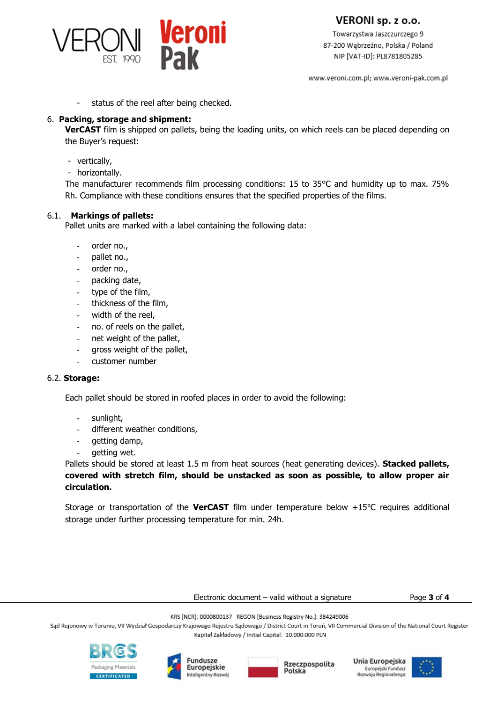

VERONI sp. z o.o.

Towarzystwa Jaszczurczego 9 87-200 Wąbrzeźno, Polska / Poland NIP [VAT-ID]: PL8781805285

www.veroni.com.pl; www.veroni-pak.com.pl

status of the reel after being checked.

#### 6. **Packing, storage and shipment:**

**VerCAST** film is shipped on pallets, being the loading units, on which reels can be placed depending on the Buyer's request:

- vertically,
- horizontally.

The manufacturer recommends film processing conditions: 15 to 35°C and humidity up to max. 75% Rh. Compliance with these conditions ensures that the specified properties of the films.

#### 6.1. **Markings of pallets:**

Pallet units are marked with a label containing the following data:

- order no.,
- pallet no.,
- order no.,
- packing date,
- type of the film,
- thickness of the film,
- width of the reel,
- no. of reels on the pallet,
- net weight of the pallet,
- gross weight of the pallet,
- customer number

#### 6.2. **Storage:**

Each pallet should be stored in roofed places in order to avoid the following:

- sunlight,
- different weather conditions,
- getting damp,
- getting wet.

Pallets should be stored at least 1.5 m from heat sources (heat generating devices). **Stacked pallets, covered with stretch film, should be unstacked as soon as possible, to allow proper air circulation.**

Storage or transportation of the **VerCAST** film under temperature below +15⁰C requires additional storage under further processing temperature for min. 24h.

Electronic document – valid without a signature Page **3** of **4**

KRS [NCR]: 0000800137 REGON [Business Registry No.]: 384249006

Sąd Rejonowy w Toruniu, VII Wydział Gospodarczy Krajowego Rejestru Sądowego / District Court in Toruń, VII Commercial Division of the National Court Register Kapitał Zakładowy / Initial Capital: 10.000.000 PLN







Unia Europejska Europejski Fundusz<br>Rozwoju Regionalnego